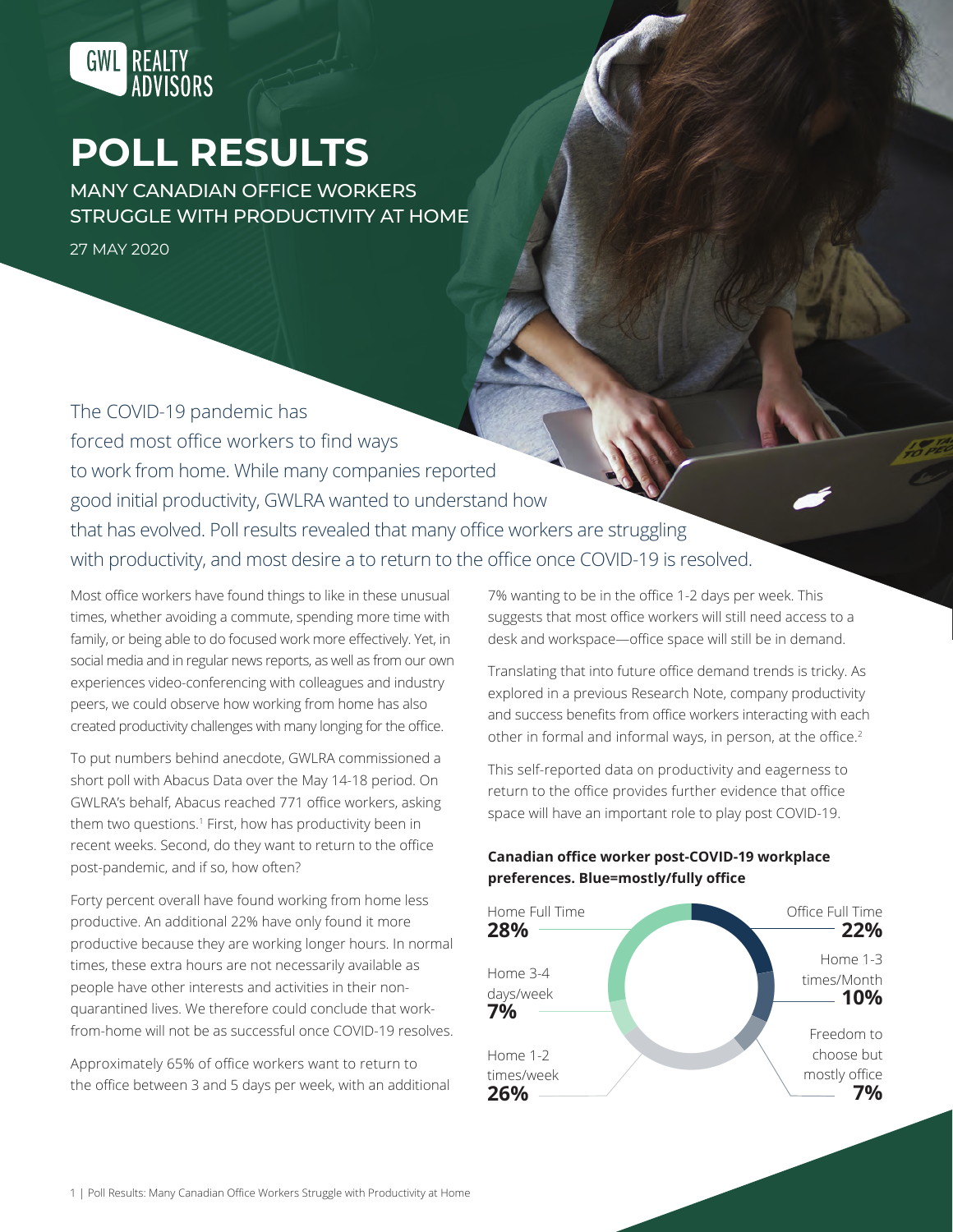

# **POLL RESULTS**

MANY CANADIAN OFFICE WORKERS STRUGGLE WITH PRODUCTIVITY AT HOME

27 MAY 2020

The COVID-19 pandemic has forced most office workers to find ways to work from home. While many companies reported good initial productivity, GWLRA wanted to understand how that has evolved. Poll results revealed that many office workers are struggling with productivity, and most desire a to return to the office once COVID-19 is resolved.

Most office workers have found things to like in these unusual times, whether avoiding a commute, spending more time with family, or being able to do focused work more effectively. Yet, in social media and in regular news reports, as well as from our own experiences video-conferencing with colleagues and industry peers, we could observe how working from home has also created productivity challenges with many longing for the office.

To put numbers behind anecdote, GWLRA commissioned a short poll with Abacus Data over the May 14-18 period. On GWLRA's behalf, Abacus reached 771 office workers, asking them two questions.<sup>1</sup> First, how has productivity been in recent weeks. Second, do they want to return to the office post-pandemic, and if so, how often?

Forty percent overall have found working from home less productive. An additional 22% have only found it more productive because they are working longer hours. In normal times, these extra hours are not necessarily available as people have other interests and activities in their nonquarantined lives. We therefore could conclude that workfrom-home will not be as successful once COVID-19 resolves.

Approximately 65% of office workers want to return to the office between 3 and 5 days per week, with an additional

7% wanting to be in the office 1-2 days per week. This suggests that most office workers will still need access to a desk and workspace—office space will still be in demand.

Translating that into future office demand trends is tricky. As explored in a previous Research Note, company productivity and success benefits from office workers interacting with each other in formal and informal ways, in person, at the office.<sup>2</sup>

This self-reported data on productivity and eagerness to return to the office provides further evidence that office space will have an important role to play post COVID-19.

## **Canadian office worker post-COVID-19 workplace preferences. Blue=mostly/fully office**